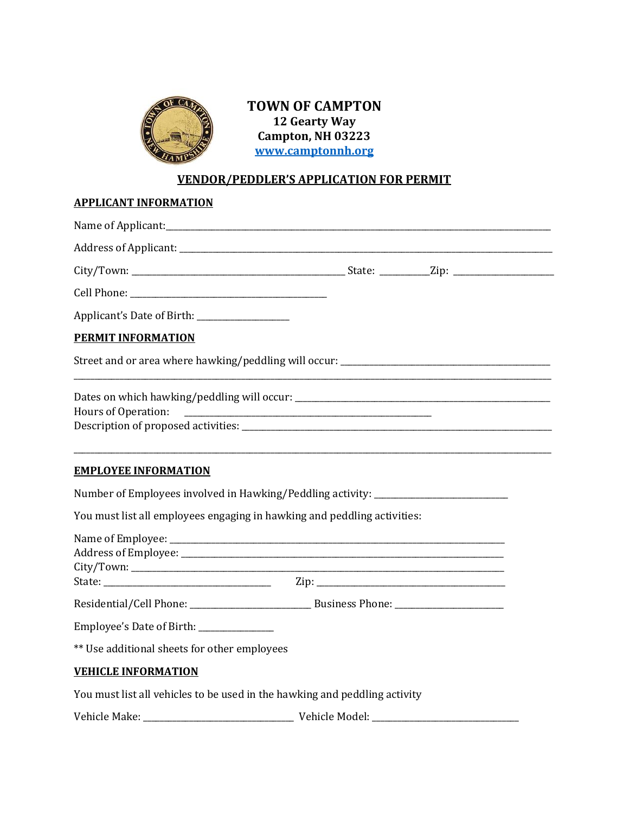

**TOWN OF CAMPTON 12 Gearty Way Campton, NH 03223 [www.camptonnh.org](http://www.camptonnh.org/)**

## **VENDOR/PEDDLER'S APPLICATION FOR PERMIT**

| <b>APPLICANT INFORMATION</b>                                                              |                                                                                  |  |
|-------------------------------------------------------------------------------------------|----------------------------------------------------------------------------------|--|
|                                                                                           |                                                                                  |  |
|                                                                                           |                                                                                  |  |
|                                                                                           |                                                                                  |  |
|                                                                                           |                                                                                  |  |
|                                                                                           |                                                                                  |  |
| <b>PERMIT INFORMATION</b>                                                                 |                                                                                  |  |
|                                                                                           |                                                                                  |  |
| Hours of Operation:                                                                       |                                                                                  |  |
| <b>EMPLOYEE INFORMATION</b>                                                               |                                                                                  |  |
|                                                                                           | Number of Employees involved in Hawking/Peddling activity: _____________________ |  |
|                                                                                           | You must list all employees engaging in hawking and peddling activities:         |  |
|                                                                                           |                                                                                  |  |
|                                                                                           |                                                                                  |  |
| Employee's Date of Birth: _______________<br>** Use additional sheets for other employees |                                                                                  |  |
| <b>VEHICLE INFORMATION</b>                                                                |                                                                                  |  |
|                                                                                           | You must list all vehicles to be used in the hawking and peddling activity       |  |
|                                                                                           |                                                                                  |  |